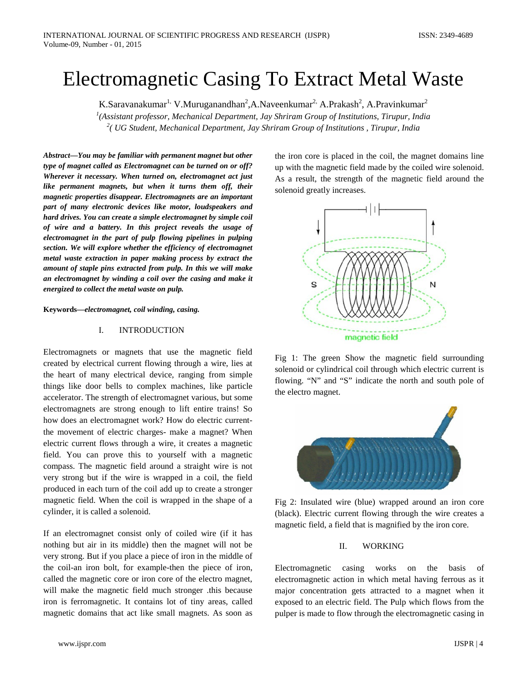# Electromagnetic Casing To Extract Metal Waste

K.Saravanakumar<sup>1,</sup> V.Muruganandhan<sup>2</sup>,A.Naveenkumar<sup>2,</sup> A.Prakash<sup>2</sup>, A.Pravinkumar<sup>2</sup>

*1 (Assistant professor, Mechanical Department, Jay Shriram Group of Institutions, Tirupur, India 2 ( UG Student, Mechanical Department, Jay Shriram Group of Institutions , Tirupur, India*

*Abstract***—***You may be familiar with permanent magnet but other type of magnet called as Electromagnet can be turned on or off? Wherever it necessary. When turned on, electromagnet act just like permanent magnets, but when it turns them off, their magnetic properties disappear. Electromagnets are an important part of many electronic devices like motor, loudspeakers and hard drives. You can create a simple electromagnet by simple coil of wire and a battery. In this project reveals the usage of electromagnet in the part of pulp flowing pipelines in pulping section. We will explore whether the efficiency of electromagnet metal waste extraction in paper making process by extract the amount of staple pins extracted from pulp. In this we will make an electromagnet by winding a coil over the casing and make it energized to collect the metal waste on pulp.*

**Keywords—***electromagnet, coil winding, casing.*

#### I. INTRODUCTION

Electromagnets or magnets that use the magnetic field created by electrical current flowing through a wire, lies at the heart of many electrical device, ranging from simple things like door bells to complex machines, like particle accelerator. The strength of electromagnet various, but some electromagnets are strong enough to lift entire trains! So how does an electromagnet work? How do electric currentthe movement of electric charges- make a magnet? When electric current flows through a wire, it creates a magnetic field. You can prove this to yourself with a magnetic compass. The magnetic field around a straight wire is not very strong but if the wire is wrapped in a coil, the field produced in each turn of the coil add up to create a stronger magnetic field. When the coil is wrapped in the shape of a cylinder, it is called a solenoid.

If an electromagnet consist only of coiled wire (if it has nothing but air in its middle) then the magnet will not be very strong. But if you place a piece of iron in the middle of the coil-an iron bolt, for example-then the piece of iron, called the magnetic core or iron core of the electro magnet, will make the magnetic field much stronger .this because iron is ferromagnetic. It contains lot of tiny areas, called magnetic domains that act like small magnets. As soon as

the iron core is placed in the coil, the magnet domains line up with the magnetic field made by the coiled wire solenoid. As a result, the strength of the magnetic field around the solenoid greatly increases.



Fig 1: The green Show the magnetic field surrounding solenoid or cylindrical coil through which electric current is flowing. "N" and "S" indicate the north and south pole of the electro magnet.



Fig 2: Insulated wire (blue) wrapped around an iron core (black). Electric current flowing through the wire creates a magnetic field, a field that is magnified by the iron core.

## II. WORKING

Electromagnetic casing works on the basis of electromagnetic action in which metal having ferrous as it major concentration gets attracted to a magnet when it exposed to an electric field. The Pulp which flows from the pulper is made to flow through the electromagnetic casing in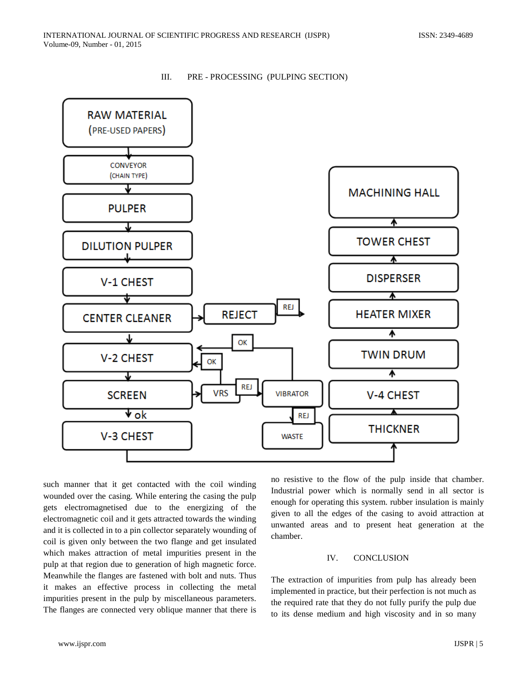



such manner that it get contacted with the coil winding wounded over the casing. While entering the casing the pulp gets electromagnetised due to the energizing of the electromagnetic coil and it gets attracted towards the winding and it is collected in to a pin collector separately wounding of coil is given only between the two flange and get insulated which makes attraction of metal impurities present in the pulp at that region due to generation of high magnetic force. Meanwhile the flanges are fastened with bolt and nuts. Thus it makes an effective process in collecting the metal impurities present in the pulp by miscellaneous parameters. The flanges are connected very oblique manner that there is

no resistive to the flow of the pulp inside that chamber. Industrial power which is normally send in all sector is enough for operating this system. rubber insulation is mainly given to all the edges of the casing to avoid attraction at unwanted areas and to present heat generation at the chamber.

### IV. CONCLUSION

The extraction of impurities from pulp has already been implemented in practice, but their perfection is not much as the required rate that they do not fully purify the pulp due to its dense medium and high viscosity and in so many